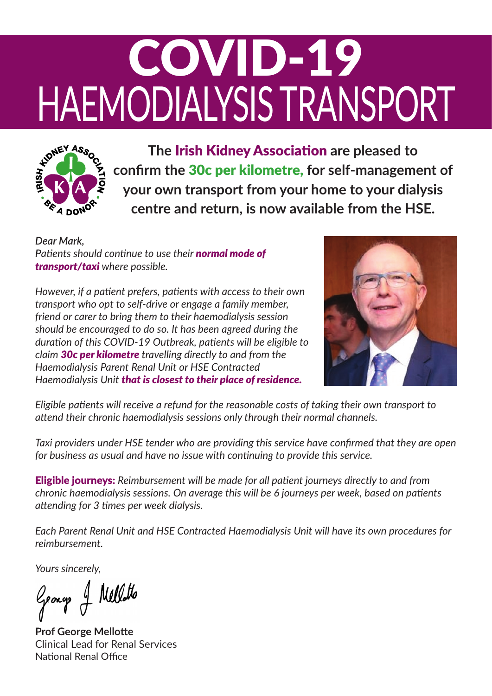## COVID-19 HAEMODIALYSIS TRANSPORT



**The** Irish Kidney Association **are pleased to confirm the 30c per kilometre, for self-management of your own transport from your home to your dialysis centre and return, is now available from the HSE.**

*Dear Mark, Patients should continue to use their normal mode of transport/taxi where possible.*

*However, if a patient prefers, patients with access to their own transport who opt to self-drive or engage a family member, friend or carer to bring them to their haemodialysis session should be encouraged to do so. It has been agreed during the duration of this COVID19 Outbreak, patients will be eligible to claim 30c per kilometre travelling directly to and from the Haemodialysis Parent Renal Unit or HSE Contracted Haemodialysis Unit that is closest to their place of residence.*



*Eligible patients will receive a refund for the reasonable costs of taking their own transport to attend their chronic haemodialysis sessions only through their normal channels.* 

*Taxi providers under HSE tender who are providing this service have confirmed that they are open for business as usual and have no issue with continuing to provide this service.* 

Eligible journeys: *Reimbursement will be made for all patient journeys directly to and from chronic haemodialysis sessions. On average this will be 6 journeys per week, based on patients attending for 3 times per week dialysis.* 

*Each Parent Renal Unit and HSE Contracted Haemodialysis Unit will have its own procedures for reimbursement.* 

*Yours sincerely,*

George of Nellatto

**Prof George Mellotte**  Clinical Lead for Renal Services National Renal Office